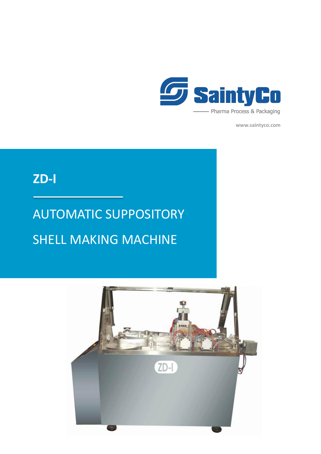

**www.saintyco.com**

### **ZD-I**

## AUTOMATIC SUPPOSITORY SHELL MAKING MACHINE

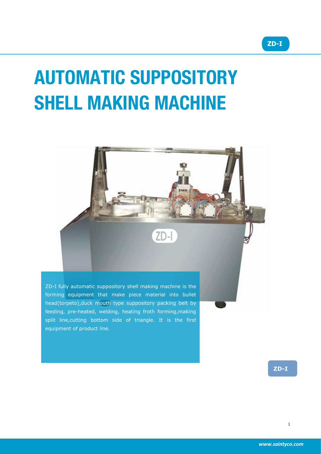# **AUTOMATIC SUPPOSITORY SHELL MAKING MACHINE**



ZD-I fully automatic suppository shell making machine is the forming equipment that make piece material into bullet head(torpeto),duck mouth type suppository packing belt by feeding, pre-heated, welding, heating froth forming,making split line,cutting bottom side of triangle. It is the first equipment of product line.

**ZD-I**

**ZD-I**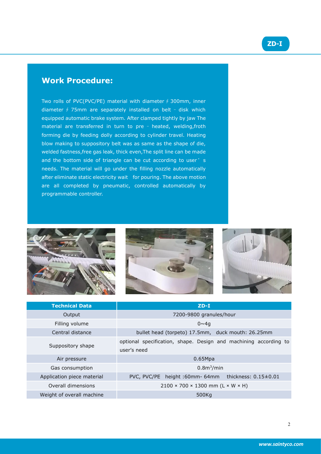### **ZD-I**

#### **Work Procedure:**

Two rolls of PVC(PVC/PE) material with diameter∮300mm, inner diameter ∮ 75mm are separately installed on belt – disk which equipped automatic brake system. After clamped tightly by jaw The material are transferred in turn to pre – heated, welding,froth forming die by feeding dolly according to cylinder travel. Heating blow making to suppository belt was as same as the shape of die, welded fastness,free gas leak, thick even,The split line can be made and the bottom side of triangle can be cut according to user's needs. The material will go under the filling nozzle automatically after eliminate static electricity wait for pouring. The above motion are all completed by pneumatic, controlled automatically by programmable controller.







| <b>Technical Data</b>      | $ZD-I$                                                                          |
|----------------------------|---------------------------------------------------------------------------------|
| Output                     | 7200-9800 granules/hour                                                         |
| Filling volume             | $0 \sim 4a$                                                                     |
| Central distance           | bullet head (torpeto) 17.5mm, duck mouth: 26.25mm                               |
| Suppository shape          | optional specification, shape. Design and machining according to<br>user's need |
| Air pressure               | 0.65Mpa                                                                         |
| Gas consumption            | 0.8 <sup>m3</sup> /min                                                          |
| Application piece material | PVC, PVC/PE height:60mm-64mm thickness: 0.15±0.01                               |
| Overall dimensions         | $2100 \times 700 \times 1300$ mm (L × W × H)                                    |
| Weight of overall machine  | 500Kg                                                                           |